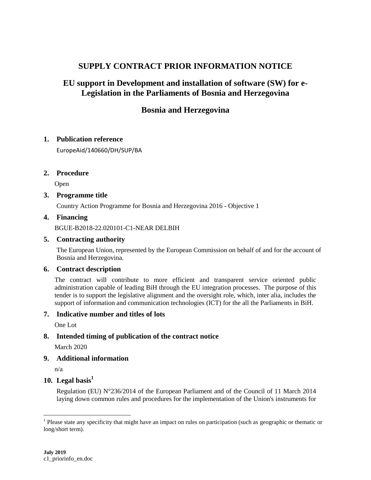# **SUPPLY CONTRACT PRIOR INFORMATION NOTICE**

# **EU support in Development and installation of software (SW) for e-Legislation in the Parliaments of Bosnia and Herzegovina**

# **Bosnia and Herzegovina**

### **1. Publication reference**

EuropeAid/140660/DH/SUP/BA

## **2. Procedure**

Open

## **3. Programme title**

Country Action Programme for Bosnia and Herzegovina 2016 - Objective 1

### **4. Financing**

BGUE-B2018-22.020101-C1-NEAR DELBIH

#### **5. Contracting authority**

The European Union, represented by the European Commission on behalf of and for the account of Bosnia and Herzegovina.

## **6. Contract description**

The contract will contribute to more efficient and transparent service oriented public administration capable of leading BiH through the EU integration processes. The purpose of this tender is to support the legislative alignment and the oversight role, which, inter alia, includes the support of information and communication technologies (ICT) for the all the Parliaments in BiH.

### **7. Indicative number and titles of lots**

One Lot

# **8. Intended timing of publication of the contract notice**

March 2020

### **9. Additional information**

n/a

 $\overline{a}$ 

# **10. Legal basis<sup>1</sup>**

Regulation (EU) N°236/2014 of the European Parliament and of the Council of 11 March 2014 laying down common rules and procedures for the implementation of the Union's instruments for

<sup>&</sup>lt;sup>1</sup> Please state any specificity that might have an impact on rules on participation (such as geographic or thematic or long/short term).